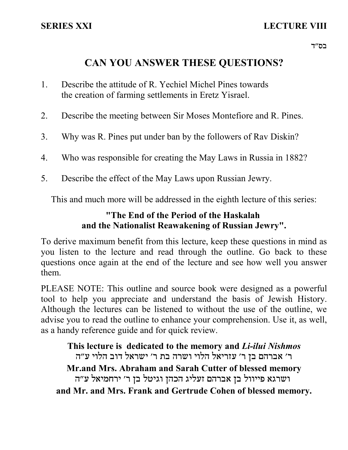# **CAN YOU ANSWER THESE QUESTIONS?**

- 1. Describe the attitude of R. Yechiel Michel Pines towards the creation of farming settlements in Eretz Yisrael.
- 2. Describe the meeting between Sir Moses Montefiore and R. Pines.
- 3. Why was R. Pines put under ban by the followers of Rav Diskin?
- 4. Who was responsible for creating the May Laws in Russia in 1882?
- 5. Describe the effect of the May Laws upon Russian Jewry.

This and much more will be addressed in the eighth lecture of this series:

# **"The End of the Period of the Haskalah and the Nationalist Reawakening of Russian Jewry".**

To derive maximum benefit from this lecture, keep these questions in mind as you listen to the lecture and read through the outline. Go back to these questions once again at the end of the lecture and see how well you answer them.

PLEASE NOTE: This outline and source book were designed as a powerful tool to help you appreciate and understand the basis of Jewish History. Although the lectures can be listened to without the use of the outline, we advise you to read the outline to enhance your comprehension. Use it, as well, as a handy reference guide and for quick review.

**This lecture is dedicated to the memory and** *Li-ilui Nishmos* ר' אברהם בן ר' עזריאל הלוי ושרה בת ר' ישראל דוב הלוי ע"ה **Mr.and Mrs. Abraham and Sarah Cutter of blessed memory** ושרגא פייוול בן אברהם זעליג הכהן וגיטל בן ר׳ ירחמיאל ע״ה **and Mr. and Mrs. Frank and Gertrude Cohen of blessed memory.**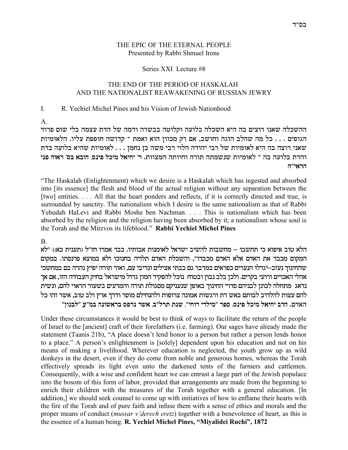#### THE EPIC OF THE ETERNAL PEOPLE Presented by Rabbi Shmuel Irons

#### Series XXI Lecture #8

### THE END OF THE PERIOD OF HASKALAH AND THE NATIONALIST REAWAKENING OF RUSSIAN JEWRY

#### $\mathbf{I}$ R. Yechiel Michel Pines and his Vision of Jewish Nationhood

 $A_{1}$ 

ההשכלה שאנו רוצים בה היא השכלה בלועה וקלוטה בבשרה ודמה של הדת עצמה בלי שום פרוד הגופים . . . כל מה שהלב הוגה וחושב, אם רק מכוון הוא ואמת ־ קדושה חופפת עליו. הלאומיות שאני רוצה בה היא לאומיות של רבי יהודה הלוי רבי משה בן נחמן . . . לאומיות שהיא בלועה בדת והדת בלועה בה <sup>–</sup> לאומיות שנשמתה תורה וחיותה המצוות. ר׳ יחיאל מיכל פינס, הובא בס׳ ראוה פני  $T''$ הראי

"The Haskalah (Enlightenment) which we desire is a Haskalah which has ingested and absorbed into [its essence] the flesh and blood of the actual religion without any separation between the [two] entities.... All that the heart ponders and reflects, if it is correctly directed and true, is surrounded by sanctity. The nationalism which I desire is the same nationalism as that of Rabbi Yehudah HaLevi and Rabbi Moshe ben Nachman. . . . This is nationalism which has been absorbed by the religion and the religion having been absorbed by it; a nationalism whose soul is the Torah and the Mitzvos its lifeblood." Rabbi Yechiel Michel Pines

**B.** 

הלא טוב איפוא כי תחשבו – מחשבות להשיב ישראל לאומנות אבותיו. כבר אמרו חז״ל (תענית כא:) ״לא המקום מכבד את האדם אלא האדם מכבדו", והשכלת האדם תלויה בחנוכו ולא במוצא פרנסתו. במקום שהחינוך נעזב–יגדלו הנערים כפראים במדבר גם בבתי אצילים ונדיבי עם, ואור תורה יפיץ נהרה בם במחשכי אהלי האכרים ורועי בקרים. ולכן בלב נבון ובטוח נוכל להפקיד המון גדול מישראל בחיק העבודה הזו, אם אך נדאג מתחלה לכונן לבניהם סדרי החינוך באופן שנעניקם מסגולת תורה והמדעים בשעור הראוי להם, ונשית להם עצות להלהיב לבותם באש דת ורגשות אמונה צרופות ולהנחילם מוסר ודרך ארץ ולב טוב, אשר זהו כל האדם. הרב יחיאל מיכל פינס, ספר ״מילדי רוחי״, שנת תרל״ב, אשר נדפס בראשונה במ״ע ״לבנון״

Under these circumstances it would be best to think of ways to facilitate the return of the people of Israel to the [ancient] craft of their forefathers (i.e. farming). Our sages have already made the statement (Taanis 21b), "A place doesn't lend honor to a person but rather a person lends honor to a place." A person's enlightenment is [solely] dependent upon his education and not on his means of making a livelihood. Wherever education is neglected, the youth grow up as wild donkeys in the desert, even if they do come from noble and generous homes, whereas the Torah effectively spreads its light even unto the darkened tents of the farmers and cattlemen. Consequently, with a wise and confident heart we can entrust a large part of the Jewish populace into the bosom of this form of labor, provided that arrangements are made from the beginning to enrich their children with the treasures of the Torah together with a general education. [In addition,] we should seek counsel to come up with initiatives of how to enflame their hearts with the fire of the Torah and of pure faith and infuse them with a sense of ethics and morals and the proper means of conduct (*mussar v'derech eretz*) together with a benevolence of heart, as this is the essence of a human being. R. Yechiel Michel Pines, "Miyalidei Ruchi", 1872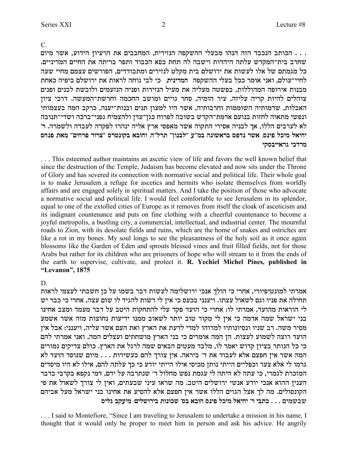$\mathcal{C}$ 

. . . הכותב הנכבד הזה הנהו מבעלי ההשקפה הנזירית, המחבבים את הרעיון הידוע, אשר מיום שחרב בית־המקדש עלתה היהדות וישבה לה תחת כסא הכבוד ותפר בריתה את החיים המדיניים. כל מגמתם של אלו לעשות את ירושלם בית מקלט לנזירים ומתבודדים, הפורשים עצמם מחיי שעה לחיי־עולם, ואני אומר ככל בעלי ההשקפה | המדינית, | כי לבי נוחה לראות את ירושלם ביפיה כאחת מבנות אירופה המהוללות, בפשטה מעליה את מעיל הנזירות ופניה הנזעמים ולובשת לבנים ופנים צוהלים להיות קריה עליזה, עיר הומיה, סחר גויים ומושב החכמה וחרשת־המעשה. דרכי ציון האבלות, שדמותיה השוממות וחרבותיה, אשר היו למעון תנים ובנות־יענה, כרקב המה בעצמותי ונפשי מתאוה לחזות בנועם אדמת־הקדש בשובה לפרוח כגן־עדן ולהצמיח גפני־ברכה ושדי־תנובה לא לערבים הללו, אך לבניה אסירי התקוה אשר מאפסי ארץ אליה ינהרו לפקדה לעבדה ולשמרה. ר׳ יחיאל מיכל פינס, אשר נדפס בראשונה במ״ע ״לבנון״ תרל״ה, והובא בקונטרס ״צרור פרחים״ מאת פנחס מרדכי גראייבסקי

... This esteemed author maintains an ascetic view of life and favors the well known belief that since the destruction of the Temple, Judaism has become elevated and now sits under the Throne of Glory and has severed its connection with normative social and political life. Their whole goal is to make Jerusalem a refuge for ascetics and hermits who isolate themselves from worldly affairs and are engaged solely in spiritual matters. And I take the position of those who advocate a normative social and political life. I would feel comfortable to see Jerusalem in its splendor, equal to one of the extolled cities of Europe as it removes from itself the cloak of asceticism and its indignant countenance and puts on fine clothing with a cheerful countenance to become a joyful metropolis, a bustling city, a commercial, intellectual, and industrial center. The mournful roads to Zion, with its desolate fields and ruins, which are the home of snakes and ostriches are like a rot in my bones. My soul longs to see the pleasantness of the holy soil as it once again blossoms like the Garden of Eden and sprouts blessed vines and fruit filled fields, not for those Arabs but rather for its children who are prisoners of hope who will stream to it from the ends of the earth to supervise, cultivate, and protect it. R. Yechiel Michel Pines, published in "Levanon", 1875

#### D.

אמרתי למונטיפיורי, אחרי כי הולך אנכי ירושלימה לעשות דבר בשמו על כן חשבתי לעצמי לראות תחילה את פניו וגם לשאול עצתו. ויענני בכעס כי אין לי רשות להגיד לו שום עצה, אחרי כי כבר יש לי הוראות מהועד, אמרתי לו: אחרי כי הועד פקד עלי להתחקות היטב על דבר מעמד ומצב אחינו בני ישראל שמה אדמה כי אין לי מקור טוב יותר לשאוב ממנו ידיעות נחוצות מזה אשר אשמע מסיר משה. רב שניו ונסיונותיו למדוהו למדי לדעת את הארץ ואת העם אשר עליה, ויענני: אבל אין הועד רוצה לשמוע לעצות. הן המה אומרים כי בני הארץ מושחתים ועצלים המה, ואני אמרתי להם כי כל הנותר בציון קדוש יאמר לו, מלבד מעטים הבאים שמה לרגל את הארץ. כולם צדיקים גמורים המה אשר אין חפצם אלא לעבוד את ד' ביראה. אין צורך להם בעשירות . . . מיום שנוסד הועד לא גרמו לי אלא צער וכפליים הייתי נותן מכיסי אילו הייתי יודע כי כך עלתה להם, אילו לא היו מיסדים המזכרת לגמרי, כי עתה לא היתה לי עגמת נפש מחלול ד׳ שנתרבה על ידם, דמי נקפא בקרבי בדבר הענין ההוא אנכי יודע אנשי ירושלים היטב. מה שראו עיני שבעתים, ואין לי צורך לשאול את פי הקונסולים. מה לך אצל הגוים הללו אשר אין חפצם אלא להסיע את אחינו בני ישראל מעל אביהם שבשמים . . . כתבי ר' יחיאל מיכל פינס הובא בס' שכונות בירושלים: מיעקב גליס

... I said to Montefiore, "Since I am traveling to Jerusalem to undertake a mission in his name, I thought that it would only be proper to meet him in person and ask his advice. He angrily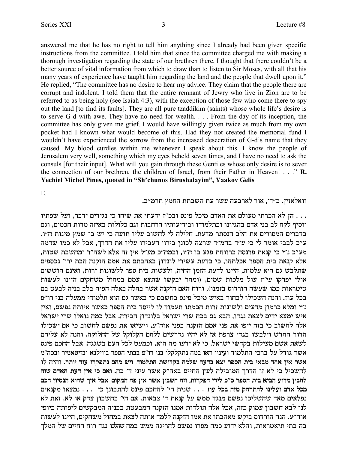answered me that he has no right to tell him anything since I already had been given specific instructions from the committee. I told him that since the committee charged me with making a thorough investigation regarding the state of our brethren there, I thought that there couldn't be a better source of vital information from which to draw than to listen to Sir Moses, with all that his many years of experience have taught him regarding the land and the people that dwell upon it." He replied, "The committee has no desire to hear my advice. They claim that the people there are corrupt and indolent. I told them that the entire remnant of Jewry who live in Zion are to be referred to as being holy (see Isaiah 4:3), with the exception of those few who come there to spy out the land [to find its faults]. They are all pure tzaddikim (saints) whose whole life's desire is to serve G-d with awe. They have no need for wealth. . . . From the day of its inception, the committee has only given me grief. I would have willingly given twice as much from my own pocket had I known what would become of this. Had they not created the memorial fund I wouldn't have experienced the sorrow from the increased desecration of G-d's name that they caused. My blood curdles within me whenever I speak about this. I know the people of Jerusalem very well, something which my eyes beheld seven times, and I have no need to ask the consuls [for their input]. What will you gain through these Gentiles whose only desire is to sever the connection of our brethren, the children of Israel, from their Father in Heaven! . . ." R. Yechiel Michel Pines, quoted in "Sh'chunos Birushalayim", Yaakov Gelis

Ε.

וואלאזין. ב"ד', אור לארבעה עשר עת השבתת החמץ תרמ"ב.

. . . הן לא הכרתי מעולם את האדם מיכל פינס ובכ"ז ידעתי את שיחו כי נגידים ידבר, ועל שפתיו יוסיף לקח לב בני אדם בהגיונו ובתלמודו ובידיעותיו הרחבות וגם כלולות באיזה מדות חכמים, וגם בדברים המסורים את הלב הנסתר מדעת. חלילה לי לחשוב עליו תועה כי יש בו שמץ מינות ח"ו. ע״כ לבבי אומר לי כי ע״ד בהמ״ד שרצה לכונן בירו׳ העבירו עליו את הדרך, אבל לא כמו שדמה מע״כ נ״י כי קנאת פרנסה ברווחת פגע בו ח״ו, ובמח״כ מע״ל אין זה אלא לשה״ר ומחשבת שטות, אלא קנאת בית הספר אכלתהו, כי בדעת עשירי לונדון באהבתם את אמם הזקנה הבת ירו' נכספים שתלבש גם היא עלמות, היינו לדעת הזמן החיה, ולעשות בית ספר ללשונות זרות, ואינם חוששים אולי יפרקו עי"ז עול מלכות שמים, (ומחר יבקשו שתצא עמם במחול משחקים היינו לעשות טיטראות כמו שעשה הורדוס בזמנו), ורוח האם הזקנה אשר בחלה באלה הפיח בלב בניה לבעט בם בכל עוז. והנה השכילו לבחור באיש מיכל פינס בחשבם כי באשר גם הוא תלמודי ממעלה בני רו״פ נ״י ומלא כרמון מדעים ולשונות זרות חכמתו תעמוד לו לייסד בית הספר כאשר איותה נפשם, ואין איש ימצא ידים לצאת נגדו, הבא גם בכח שרי ישראל בלונדון הבירה. אבל כמה נואלו שרי ישראל אלה לחשוב כי בזה ייפו את פני אמם הזקנה בפני אוה"ע, וישיאו את נפשם לחשוב כי אם ישכילו הדור החדש וילבשו בגדי צרפת אז לא יהיו נדרשים ללחם הקלוקל של החלוקה. והנה לא עליהם לשאת אשם מעילות בקדשי ישראל, כי לא ידעו מה הוא, וכמעט לכל העם בשגגה. אבל החכם פינס אשר גודל על ברכי התלמוד ועיניו ראו במה נתקלקלו בני רו"פ בבתי הספר בווילנא ובזיטאמיר ובכה"מ אשר אין אחד מבאי בית הספר יצא בדעה שלמה בקדושת התלמוד, ויש מהם נתפקרו עוד יותר. והיה לו להשכיל כי לא זו הדרך המובילה לעץ החיים באה"ק אשר עיני ד' בה. ואם כי אין דעת האדם שוה להבין מדוע הביא בית הספר כ״כ לידי הפקרות, וזה חשבון אשר אין פה המקום, אבל איך שהוא הנסיון חכם מכל אדם ועלינו להתרחק מזה בכל עוז, . . . שנית הי׳ להחכם פינס להתבונן כי . . . . נמצאו מקנאים נפלאים מאד שהשליכו נפשם מנגד ממש על קנאת ד׳ צבאות. אם הי׳ בחשבון צדק או לא, זאת לא לנו לבא חשבון עמוק כזה, אבל אלה תולדות אמנו הזקנה המבעטת בבניה המבקשים ליפותה ביופי אוה"ע. הנה הורדוס ביקש מאהבתו את אמו הזקנה ללמד אותה לצאת במחול משחקים, היינו לעשות בה בתי תיאטראות, והלא ידוע כמה מסרו נפשם להריגה ממש במה ש*הל*ם נגד רוח החיים של המלך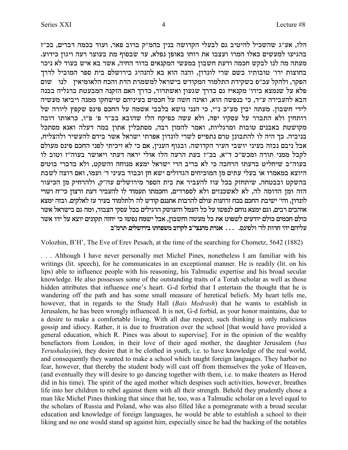הלז, אע"ג שהשכיל להיטיב גם לבעלי הקדושה בנין בהמ"ק ברוב פאר, ועוד בכמה דברים, בכ"ז בהגיעו למעשים כאלו המרו ועצבו את רוחו באופן נפלא, עד שבסוף מת בעוצר רעה ויגון כידוע. מעתה מה לנו לבקש חכמה ודעת חשבון במעשי המקנאים בדור החיה, אשר בא איש בעוד לא ניכר בחוצות ירו׳ טובותיו בשם שרי לונדון, והנה הוא בא להנהיג בירושלם בית ספר המוביל לדרך הפקר, ולהקל עכ״פ בשקידת התלמוד המקודש בישראל למשמרת הדת והכח הלאומיאין | לנו | שום פלא על שנמצא בירו׳ מקנאי? גם בדרך שגעון ואשתדור, כדרך האם הזקנה המבעטת ברגליה בבנה הבא להעבירה ע"ד, כי בנפשה הוא, ואינה חשה על חכמים בעיניהם שישחקו ממנה ויביאו מעשיה לידי חשבון. מעתה יבין מע"כ נ"י, כי הנני נושא בלבבי אשמה על החכם פינס שקפץ ליורה של רותחין ולא התברר על עסקיו יפה, ולא עשה כפיקח הלז שהובא בב"ר פ' פ"ו, כראותו דובה מקושטת באבנים טובות ומרגליות, ואמר להמון רבה, מסתכלין אתון במה דעלה ואנא מסתכל בניביה. כך היה לו להתבונן טרם נתפייס לשרי לונדון אפרתי ישראל אשר בידם להעשיר ולהצליח, אבל ניבם נבזה בעיני יושבי העיר הקדושה. ובגוף הענין, אם כי לא זיכיתי לפני החכם פינס מעולם לקבל ממני תורה ומכש"כ ד"א, בכ"ז בעת הרעה הלז אולי יראה דעתי ויאושר בעוה"ז וטוב לו בעוה״ב שיחליט בדעתו הרחבה כי לא בריב הרי ישראל ימצא מנוחה והשקט, ולא בדברי בוטים היוצא במאמרו או בעלי עתים מן המוכיחים הגדולים ישא חן וכבוד בעיני ד׳ ועמו, ואם רוצה לשבת בהשקט ובבטחה, שיתחזק בכל עוז להעביר את בית הספר מירושלים עה"ק, ולהרחיק מן הכיעור הזה ומן הדומה לה, לא לאשכנזים ולא לספרדים, וחכמתו תעמוד לו להעביר דעת ורצון כי״ח ושרי לונדון, והי׳ ישיבת החכם בכח זרועות עולם להרבות אתננם קודש לה ולתלמוד בעיר עז לאלקים. ובזה ימצא אוהבים רבים, וגם ימצא נוחם לנפשו על כל העמל והעושק הרגילים בכל עסקי הצבור, ומה גם בישראל אשר כולם חכמים כולם יודעים לשפוט את כל מעשה וחשבון, אבל ישמח נפשו כי יחזה תקונים יוצא על ידו אשר עליהם יהי חרות לד׳ ולפינס. ... אגרת מהנצי״ב לקרוב משפחתו בירושלים תרמ״ב

Volozhin, B'H', The Eve of Erev Pesach, at the time of the searching for Chometz, 5642 (1882)

... Although I have never personally met Michel Pines, nonetheless I am familiar with his writings (lit. speech), for he communicates in an exceptional manner. He is readily (lit. on his lips) able to influence people with his reasoning, his Talmudic expertise and his broad secular knowledge. He also possesses some of the outstanding traits of a Torah scholar as well as those hidden attributes that influence one's heart. G-d forbid that I entertain the thought that he is wandering off the path and has some small measure of heretical beliefs. My heart tells me, however, that in regards to the Study Hall (Bais Medrash) that he wants to establish in Jerusalem, he has been wrongly influenced. It is not, G-d forbid, as your honor maintains, due to a desire to make a comfortable living. With all due respect, such thinking is only malicious gossip and idiocy. Rather, it is due to frustration over the school [that would have provided a general education, which R. Pines was about to supervise]. For in the opinion of the wealthy benefactors from London, in their love of their aged mother, the daughter Jerusalem (bas Yerushalayim), they desire that it be clothed in youth, i.e. to have knowledge of the real world, and consequently they wanted to make a school which taught foreign languages. They harbor no fear, however, that thereby the student body will cast off from themselves the yoke of Heaven, (and eventually they will desire to go dancing together with them, i.e. to make theaters as Herod did in his time). The spirit of the aged mother which despises such activities, however, breathes life into her children to rebel against them with all their strength. Behold they prudently chose a man like Michel Pines thinking that since that he, too, was a Talmudic scholar on a level equal to the scholars of Russia and Poland, who was also filled like a pomegranate with a broad secular education and knowledge of foreign languages, he would be able to establish a school to their liking and no one would stand up against him, especially since he had the backing of the notables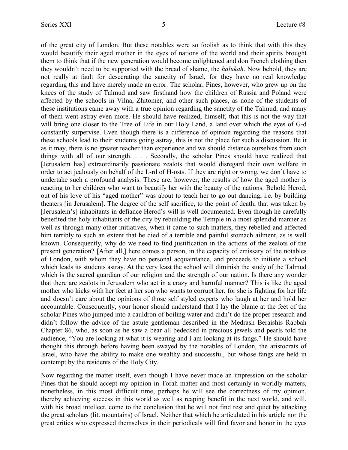of the great city of London. But these notables were so foolish as to think that with this they would beautify their aged mother in the eyes of nations of the world and their spirits brought them to think that if the new generation would become enlightened and don French clothing then they wouldn't need to be supported with the bread of shame, the *halukah*. Now behold, they are not really at fault for desecrating the sanctity of Israel, for they have no real knowledge regarding this and have merely made an error. The scholar, Pines, however, who grew up on the knees of the study of Talmud and saw firsthand how the children of Russia and Poland were affected by the schools in Vilna, Zhitomer, and other such places, as none of the students of these institutions came away with a true opinion regarding the sanctity of the Talmud, and many of them went astray even more. He should have realized, himself, that this is not the way that will bring one closer to the Tree of Life in our Holy Land, a land over which the eyes of G-d constantly surpervise. Even though there is a difference of opinion regarding the reasons that these schools lead to their students going astray, this is not the place for such a discussion. Be it as it may, there is no greater teacher than experience and we should distance ourselves from such things with all of our strength. . . . Secondly, the scholar Pines should have realized that [Jerusalem has] extraordinarily passionate zealots that would disregard their own welfare in order to act jealously on behalf of the L-rd of H-osts. If they are right or wrong, we don't have to undertake such a profound analysis. These are, however, the results of how the aged mother is reacting to her children who want to beautify her with the beauty of the nations. Behold Herod, out of his love of his "aged mother" was about to teach her to go out dancing, i.e. by building theaters [in Jerusalem]. The degree of the self sacrifice, to the point of death, that was taken by [Jerusalem's] inhabitants in defiance Herod's will is well documented. Even though he carefully benefited the holy inhabitants of the city by rebuilding the Temple in a most splendid manner as well as through many other initiatives, when it came to such matters, they rebelled and affected him terribly to such an extent that he died of a terrible and painful stomach ailment, as is well known. Consequently, why do we need to find justification in the actions of the zealots of the present generation? [After all,] here comes a person, in the capacity of emissary of the notables of London, with whom they have no personal acquaintance, and proceeds to initiate a school which leads its students astray. At the very least the school will diminish the study of the Talmud which is the sacred guardian of our religion and the strength of our nation. Is there any wonder that there are zealots in Jerusalem who act in a crazy and harmful manner? This is like the aged mother who kicks with her feet at her son who wants to corrupt her, for she is fighting for her life and doesn't care about the opinions of those self styled experts who laugh at her and hold her accountable. Consequently, your honor should understand that I lay the blame at the feet of the scholar Pines who jumped into a cauldron of boiling water and didn't do the proper research and didn't follow the advice of the astute gentleman described in the Medrash Beraishis Rabbah Chapter 86, who, as soon as he saw a bear all bedecked in precious jewels and pearls told the audience, "You are looking at what it is wearing and I am looking at its fangs." He should have thought this through before having been swayed by the notables of London, the aristocrats of Israel, who have the ability to make one wealthy and successful, but whose fangs are held in contempt by the residents of the Holy City.

Now regarding the matter itself, even though I have never made an impression on the scholar Pines that he should accept my opinion in Torah matter and most certainly in worldly matters, nonetheless, in this most difficult time, perhaps he will see the correctness of my opinion, thereby achieving success in this world as well as reaping benefit in the next world, and will, with his broad intellect, come to the conclusion that he will not find rest and quiet by attacking the great scholars (lit. mountains) of Israel. Neither that which he articulated in his article nor the great critics who expressed themselves in their periodicals will find favor and honor in the eyes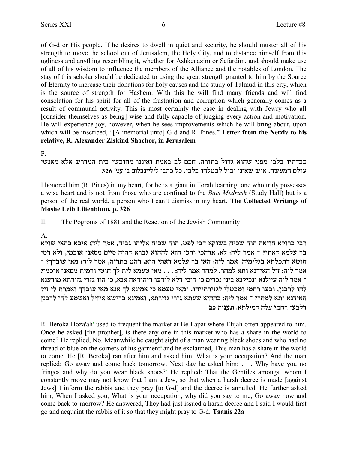of G-d or His people. If he desires to dwell in quiet and security, he should muster all of his strength to move the school out of Jerusalem, the Holy City, and to distance himself from this ugliness and anything resembling it, whether for Ashkenazim or Sefardim, and should make use of all of his wisdom to influence the members of the Alliance and the notables of London. The stay of this scholar should be dedicated to using the great strength granted to him by the Source of Eternity to increase their donations for holy causes and the study of Talmud in this city, which is the source of strength for Hashem. With this he will find many friends and will find consolation for his spirit for all of the frustration and corruption which generally comes as a result of communal activity. This is most certainly the case in dealing with Jewry who all [consider themselves as being] wise and fully capable of judging every action and motivation. He will experience joy, however, when he sees improvements which he will bring about, upon which will be inscribed, "[A memorial unto] G-d and R. Pines." Letter from the Netziv to his relative, R. Alexander Ziskind Shachor, in Jerusalem

 $F.$ 

## כבדתיו בלבי מפני שהוא גדול בתורה, חכם לב באמת ואיננו מחובשי בית המדרש אלא מאנשי עולם המעשה. איש שאיני יכול לבטלהו בלבי. כל כתבי ליליינבלום ב׳ עמ׳ 326

I honored him (R. Pines) in my heart, for he is a giant in Torah learning, one who truly possesses a wise heart and is not from those who are confined to the Bais Medrash (Study Hall) but is a person of the real world, a person who I can't dismiss in my heart. The Collected Writings of Moshe Leib Lilienblum, p. 326

The Pogroms of 1881 and the Reaction of the Jewish Community П.

### $A_{1}$

רבי ברוקא חוזאה הוה שכיח בשוקא דבי לפט, הוה שכיח אליהו גביה, אמר ליה: איכא בהאי שוקא בר עלמא דאתי? ־ אמר ליה: לא. אדהכי והכי חזא לההוא גברא דהוה סיים מסאני אוכמי, ולא רמי חוטא דתכלתא בגלימיה. אמר ליה: האי בר עלמא דאתי הוא. רהט בתריה, אמר ליה: מאי עובדך? ־ אמר ליה: זיל האידנא ותא למחר. למחר אמר ליה: . . . מאי טעמא לית לך חוטי ורמית מסאני אוכמי? ־ אמר ליה עיילנא ונפיקנא ביני נכרים כי היכי דלא לידעו דיהודאה אנא, כי הוו גזרי גזירתא מודענא להו לרבנן, ובעו רחמי ומבטלי לגזירתייהו. ומאי טעמא כי אמינא לך אנא מאי עובדך ואמרת לי זיל האידנא ותא למחר? ־ אמר ליה: בההיא שעתא גזרי גזירתא, ואמינא ברישא איזיל ואשמע להו לרבנז דלבעי רחמי עלה דמילתא. תענית כב.

R. Beroka Hoza'ah' used to frequent the market at Be Lapat where Elijah often appeared to him. Once he asked [the prophet], is there any one in this market who has a share in the world to come? He replied, No. Meanwhile he caught sight of a man wearing black shoes and who had no thread of blue on the corners of his garment<sup>3</sup> and he exclaimed. This man has a share in the world to come. He [R. Beroka] ran after him and asked him, What is your occupation? And the man replied: Go away and come back tomorrow. Next day he asked him: . . . Why have you no fringes and why do you wear black shoes?<sup>5</sup> He replied: That the Gentiles amongst whom I constantly move may not know that I am a Jew, so that when a harsh decree is made [against] Jews] I inform the rabbis and they pray [to G-d] and the decree is annulled. He further asked him, When I asked you, What is your occupation, why did you say to me, Go away now and come back to-morrow? He answered. They had just issued a harsh decree and I said I would first go and acquaint the rabbis of it so that they might pray to G-d. Taanis 22a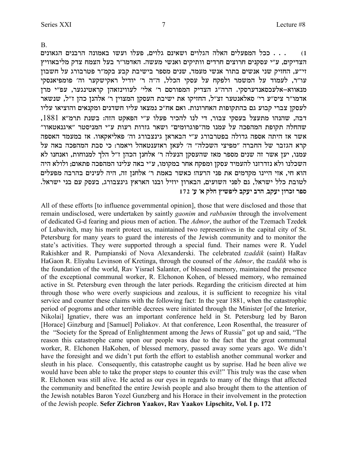$\mathbf{B}$ 

. . . ככל המפעלים האלה הגלוים ושאינם גלוים, פעלו ועשו באמונה הרבנים הגאונים  $(1)$ הצדיקים, ע"י עסקנים חרוצים חרדים וותיקים ואנשי מעשה. האדמו"ר בעל הצמח צדק מליבאוויץ זי־ע, החזיק שני אנשים בתור אנשי מעמד, שנים מספר בישיבת קבע בקמ״ר פטרבורג על חשבון עו"ר, לעמוד על המשמר ולפקח על עסקי הכלל, ה"ה ר' יודיל ראקישקער וה' פומפיאנסקי מנאווא–אלעכסאנדערסקי. הרה"ג הצדיק המפורסם ר' אלי' לעווינזאהן קראטינגער, עפ"י מרן אדמו"ר ציס"ע רי' סאלאנטער זצ"ל, החזיקו את ישיבת העסקן המצוין ר' אלהנן כהן ז"ל, שנשאר לעסקן צברי קבוע גם בהתקופות האחרונות. ואם אח"כ נמצאו עליו חשדנים ומקנאים והוציאו עליו דבה, שהנהו מתעצל בעסקי צבור, די לנו להכיר פעלו ע"י הפאקט הזה: בשנת תרמ"א 1881, שהחלה תקופת המהפכה על עמנו מה"פוגרומים" ושאר גזרות רעות ע"י המניסטר "איגנאטאוו" אשר אז היתה אספה גדולה בפטרבורג ע"י הבאראן גינצבורג וה' פאליאקאוו. אז במעמד האספה קרא הגזבר של החברה "מפיצי השכלה" ה' לעאן ראזענטאהל ויאמר: כי סבת המהפכה באה על עמנו, יען אשר זה שנים מספר מאז שהעסקן הנעלה ר' אלחנן הכהן ז"ל הלך למנוחות, ואנחנו לא השכלנו ולא נזדרזנו להעמיד עסקן ומפקח אחר במקומו, ע"י באה עלינו המהפכה פתאום; ולולא היה הוא חי, אזי היינו מקדמים את פני הרעה! כאשר באמת ר׳ אלחנן זה, היה לעינים בהרבה מפעלים לטובת כלל ישראל, גם לפני השועים, הבארון יוזיל ובנו האראץ גינצבורג, בעסק עם בני ישראל. ספר זכרון יעקב, הרב יעקב ליפשיץ חלק א׳ ע׳ 172

All of these efforts [to influence governmental opinion], those that were disclosed and those that remain undisclosed, were undertaken by saintly *gaonim* and *rabbanim* through the involvement of dedicated G-d fearing and pious men of action. The Admor, the author of the Tzemach Tzedek of Lubavitch, may his merit protect us, maintained two representives in the capital city of St. Petersburg for many years to guard the interests of the Jewish community and to monitor the state's activities. They were supported through a special fund. Their names were R. Yudel Rakishker and R. Pumpianski of Nova Alexanderski. The celebrated tzaddik (saint) HaRav HaGaon R. Eliyahu Levinson of Kretinga, through the counsel of the *Admor*, the *tzaddik* who is the foundation of the world, Rav Yisrael Salanter, of blessed memory, maintained the presence of the exceptional communal worker, R. Elchonon Kohen, of blessed memory, who remained active in St. Petersburg even through the later periods. Regarding the criticism directed at him through those who were overly suspicious and zealous, it is sufficient to recognize his vital service and counter these claims with the following fact: In the year 1881, when the catastrophic period of pogroms and other terrible decrees were initiated through the Minister [of the Interior, Nikolai) Ignatiev, there was an important conference held in St. Petersburg led by Baron [Horace] Ginzburg and [Samuel] Poliakov. At that conference, Leon Rosenthal, the treasurer of the "Society for the Spread of Enlightenment among the Jews of Russia" got up and said. "The reason this catastrophe came upon our people was due to the fact that the great communal worker, R. Elchonen HaKohen, of blessed memory, passed away some years ago. We didn't have the foresight and we didn't put forth the effort to establish another communal worker and sleuth in his place. Consequently, this catastrophe caught us by suprise. Had he been alive we would have been able to take the proper steps to counter this evil!" This truly was the case when R. Elchonen was still alive. He acted as our eyes in regards to many of the things that affected the community and benefited the entire Jewish people and also brought them to the attention of the Jewish notables Baron Yozel Gunzberg and his Horace in their involvement in the protection of the Jewish people. Sefer Zichron Yaakov, Rav Yaakov Lipschitz, Vol. I p. 172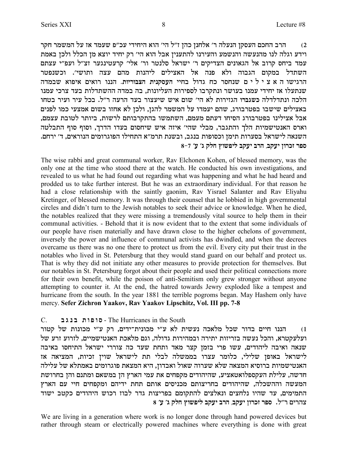הרב החכם העסקן הנעלה ר' אלחנן כהן ז"ל הי' הוא היחידי עכ"פ שעמד אז על המשמר חקר  $\,2\,$ וידע וגלה לנו מהנעשה והנשמע והעירנו להתענין אבל הוא הי׳ רק יחיד יוצא מן הכלל ולכן באמת עמד ביחס קרוב אל הגאונים הצדיקים ר' ישראל סלנטר ור' אלי' קרעטינגער זצ"ל ועפ"י עצתם השתדל במקום הגבוה ולא פנה אל האצילים ליהנות מהם עצה ותושי׳. וכשנפטר הרגישו ה א צ י ל י ם שנחסר כח גדול בחיי העסקנית הצבוריות. הננו רואים איפוא שבמדה שנתעלו אז יחידי עמנו בעושר ונתקרבו לספירות העליונות, בה במדה ההשתדלות בעד צרכי עמנו הלכה ונתדלדלה כשגברו הגזירות לא הי׳ שום איש שיעצור בעד הרעה ר״ל. בכל עיר ועיר בטחו באצילים שישבו בפטרבורג, שהם יעמדו על המשמר להגן, ולכן לא אחזו בשום אמצעי כמו לפנים אבל אצילינו בפטרבורג הסיחו דעתם מעמם, השתמשו בהתקרבותם לרשות, ביותר לטובת עצמם, וארס האנטישמיות הלך והתגבר, מבלי שהי׳ איזה איש שיחסום בעדו הדרך, וסוף סוף התבלטה .<br>השנאה לישראל בסערות תימן וכסופות בנגב, ובשנת תרמ״א התחילו הפוגרומים הנוראים, ד׳ ירחם **8-7 'r 'b wlg ueytil awri axd ,awri oexkf xtq**

The wise rabbi and great communal worker, Rav Elchonen Kohen, of blessed memory, was the only one at the time who stood there at the watch. He conducted his own investigations, and revealed to us what he had found out regarding what was happening and what he had heard and prodded us to take further interest. But he was an extraordinary individual. For that reason he had a close relationship with the saintly gaonim, Rav Yisrael Salanter and Rav Eliyahu Kretinger, of blessed memory. It was through their counsel that he lobbied in high governmental circles and didn't turn to the Jewish notables to seek their advice or knowledge. When he died, the notables realized that they were missing a tremendously vital source to help them in their communal activities. - Behold that it is now evident that to the extent that some individuals of our people have risen materially and have drawn close to the higher echelons of government, inversely the power and influence of communal activists has dwindled, and when the decrees overcame us there was no one there to protect us from the evil. Every city put their trust in the notables who lived in St. Petersburg that they would stand guard on our behalf and protect us. That is why they did not initiate any other measures to provide protection for themselves. But our notables in St. Petersburg forgot about their people and used their political connections more for their own benefit, while the poison of anti-Semitism only grew stronger without anyone attempting to counter it. At the end, the hatred towards Jewry exploded like a tempest and hurricane from the south. In the year 1881 the terrible pogroms began. May Hashem only have mercy. **Sefer Zichron Yaakov, Rav Yaakov Lipschitz, Vol. III pp. 7-8**

#### C. **a b p a z e t e q** - The Hurricanes in the South

ו) הננו חיים בדור שכל מלאכה נעשית לא ע"י מכונית־ידים, רק ע"י מכונות של קטור ועלעקטרא, והכל נעשה בזריזות יתירה ובמהירות גדולה, וגם מלאכת האנטישמיים, לזרוע זרע של שנאה ואיבה ליהודים, עשו פרי בזמן קצר מאד ותחת שעד כה צוררי ישראל התיחסו באיבה לישראל באופן שלילי, כלומר עצרו בממשלה לבלי תת לישראל שוין זכיות, המציאה אז האנטישמיות ברוסיא המצאה שלא שערוה שאול ואבדון, היא המצאת פוגרומים באמתלא של עלילה חדשה, עלילת העקספלואטאציע, שהיהודים מקפחים את עמי הארץ הן במשאם ומתנם והן בחרושת המעשה וההשכלה, שהיהודים בחריצותם מכניסים אותם תחת ידיהם ומקפחים חיי עם הארץ התמימים, עד שהיו נלחצים ונאלצים להתקומם בפריצות גדר לבוז רכוש היהודים כקטב ישוד **8 'r 'b wlg ueytil awri axd ,awri oexkf xtq** .l"x mixdv

We are living in a generation where work is no longer done through hand powered devices but rather through steam or electrically powered machines where everything is done with great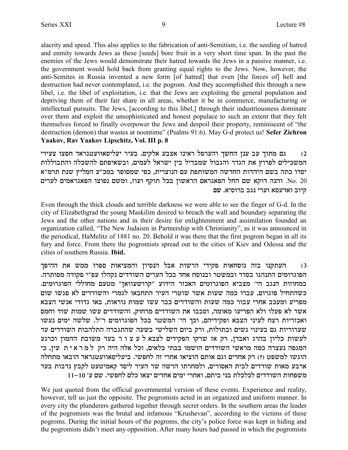alacrity and speed. This also applies to the fabrication of anti-Semitism, i.e. the seeding of hatred and enmity towards Jews as these [seeds] bore fruit in a very short time span. In the past the enemies of the Jews would demonstrate their hatred towards the Jews in a passive manner, *i.e.* the government would hold back from granting equal rights to the Jews. Now, however, the anti-Semites in Russia invented a new form [of hatred] that even [the forces of] hell and destruction had never contemplated, i.e. the pogrom. And they accomplished this through a new libel, i.e. the libel of exploitation, i.e. that the Jews are exploiting the general population and depriving them of their fair share in all areas, whether it be in commerce, manufacturing or intellectual pursuits. The Jews, [according to this libel,] through their industriousness dominate over them and exploit the unsophisticated and honest populace to such an extent that they felt themselves forced to finally overpower the Jews and despoil their property, reminiscent of "the destruction (demon) that wastes at noontime" (Psalms 91:6). May G-d protect us! Sefer Zichron Yaakov, Rav Yaakov Lipschitz, Vol. III p. 8

גם מתוך עב ענן החשך והערפל ראינו אצבע אלקים. בעיר יעליסאוועטגראד חפצו צעירי  $(2)$ המשכילים לפרוץ את הגדר והגבול שמבדיל בין ישראל לעמים, ובשאיפתם להשכלה והתבוללות יסדו כתה בשם היהדות החדשה המשותפת עם הנוצרית, כפי שמסופר במכ״ע המליץ שנת תרמ״א לערים לערים און בכל תוקף ועוז, ומשם נפוצו הפאגראמים ואון הנאט No. 20 . קיוב ואדעסא וערי נגב ברוסיא. שם

Even through the thick clouds and terrible darkness we were able to see the finger of G-d. In the city of Elizabethgrad the young Maskilim desired to breach the wall and boundary separating the Jews and the other nations and in their desire for enlightenment and assimilation founded an organization called, "The New Judaism in Partnership with Christianity", as it was announced in the periodical, HaMelitz of 1881 no. 20. Behold it was there that the first pogrom began in all its fury and force. From there the pogromists spread out to the cities of Kiev and Odessa and the cities of southern Russia Ibid.

העתקנו בזה נוסחאות פקידי הרשות אבל הנסיון והמציאות ספרו ממש את ההיפך  $(3)$ הפוגרומים התנהגו בסדר ובמשטר ובנוסח אחד בכל הערים השודדים נקהלו עפ"י פקודה מסותרה. במחוזות הנגב הי׳ מצביא הפוגרומים האכזר הידוע ״קרושעוואן״ מטעם מחוללי הפוגרומים. כשהתחיל פוגרום, עברו כמה שעות אשר שוטרי העיר התחבאו לגמרי והשודדים לא פגשו שום מפריע ומעכב אחרי עבור כמה שעות והשודדים כבר עשו שמות נוראות, באו גדודי אנשי הצבא אשר לא פעלו ולא הפריעו מאומה, וסבבו את השודדים מרחוק, והשודדים עשו שמות שוד וחמס ואכזריות רצח לעיני הצבא ופקידיהם, וכך הי׳ המשטר בכל הפוגרומים ר״ל. שלשה ימים נעשו שערוריות גם בעינוי נשים ובתולות, ורק ביום השלישי בשעה שהתגברה התלהבות השודדים עד לעשות כליון בהרג ואבדן, רק אז שרקו הפקידים לצבא לעצור בעד משובת ההמון וכרגע המגפה נעצרה כמה מראשי השודדים הושמו בבתי כלאים, וכל אלה היה רק למראית עין, כי הוגשו למשפט (?) רק אחדים וגם אותם הוציאו אחרי זה לחפשי. ביעליסאוועטגראד הובאו מתחלה ארבע מאות שודדים לבית האסורים, ולמחרתו הרשה שר העיר ליסד קאמיטעט לקבץ נדבות בעד משפחות השודדים לכלכלת בני ביתם, ואחרי ימים אחדים יצאו כלם לחפשי. שם ע׳ 10–11

We just quoted from the official governmental version of these events. Experience and reality, however, tell us just the opposite. The pogromists acted in an organized and uniform manner. In every city the plunderers gathered together through secret orders. In the southern areas the leader of the pogromists was the brutal and infamous "Krushevan", according to the victims of these pogroms. During the initial hours of the pogroms, the city's police force was kept in hiding and the pogromists didn't meet any opposition. After many hours had passed in which the pogromists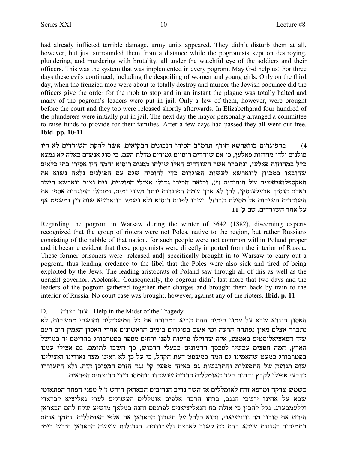had already inflicted terrible damage, army units appeared. They didn't disturb them at all, however, but just surrounded them from a distance while the pogromists kept on destroying, plundering, and murdering with brutality, all under the watchful eye of the soldiers and their officers. This was the system that was implemented in every pogrom. May G-d help us! For three days these evils continued, including the despoiling of women and young girls. Only on the third day, when the frenzied mob were about to totally destroy and murder the Jewish populace did the officers give the order for the mob to stop and in an instant the plague was totally halted and many of the pogrom's leaders were put in jail. Only a few of them, however, were brought before the court and they too were released shortly afterwards. In Elizabethgrad four hundred of the plunderers were initially put in jail. The next day the mayor personally arranged a committee to raise funds to provide for their families. After a few days had passed they all went out free. Ibid. pp. 10-11

בהפוגרום בווארשא חורף תרמ"ב הכירו הנבונים הבקיאים, אשר להקת השודדים לא היו  $(4)$ פולנים ילדי מחוזות פאלען, כי אם שודדים רוסיים גמורים מדלת העם, כי סוג אנשים כאלה לא נמצא כלל במחוזות פאלען, ונתברר אשר השודדים האלו שולחו מפנים רוסיא והמה היו אסירי בתי כלאים שהובאו במכוון לווארשא לעשות הפוגרום כדי להוכיח שגם עם הפולנים נלאה נשוא את האקספלואטאציה של היהודים (?), וכזאת הכירו גדולי אצילי הפולנים, וגם נציב ווארשא הישר .<br>באדם הנסיך אבעלענסקי, לכן לא ארך שמה הפוגרום יותר משני ימים, ומנהלי הפוגרום אספו את השודדים השיבום אל מסילת הברזל. ושבו לפנים רוסיא ולא נשמע בווארשא שום דיז ומשפט אף על אחד השודדים. שם ע' 11

Regarding the pogrom in Warsaw during the winter of 5642 (1882), discerning experts recognized that the group of rioters were not Poles, native to the region, but rather Russians consisting of the rabble of that nation, for such people were not common within Poland proper and it became evident that these pogromists were directly imported from the interior of Russia. These former prisoners were [released and] specifically brought in to Warsaw to carry out a pogrom, thus lending credence to the libel that the Poles were also sick and tired of being exploited by the Jews. The leading aristocrats of Poland saw through all of this as well as the upright governor, Abelenski. Consequently, the pogrom didn't last more that two days and the leaders of the pogrom gathered together their charges and brought them back by train to the interior of Russia. No court case was brought, however, against any of the rioters. **Ibid. p. 11** 

#### D. - עזר בצרה Help in the Midst of the Tragedy

האסון הנורא שבא על עמנו בימים ההם הביא במבוכה את כל המשכילים וחושבי מחשבות, לא נתברר אצלם מאין נפתחה הרעה ומי אשם בפוגרום בימים הראשונים אחרי האסון האמין רוב העם שיד הסאציאליסטים באמצע, אלה שחוללו פרעות לפני ירחים מספר בפטרבורג בהרימם יד במושל הארץ, המה חפצים עכשיו לסכסך ההמונים בבעלי הרכוש, כך חשבו לתומם. גם אצילי עמנו בפטרבורג כמעט שהאמינו גם המה כמשפט דעת הקהל, כי על כן לא ראינו מצד נאורינו ואצילינו שום תנועה של התפעלות והתרגשות גם באיזה מפעל קל נגד הזרם המסוכן הזה, ולא התעוררו כדבעי אפילו לקבץ נדבות בעד האומללים הרבים שנשדדו ונחמסו בידי הרוצחים הפראים.

כשמש צדקה ומרפא זרח לאומללים אז השר נדיב הנדיבים הבאראן הירש ז"ל מפני הפחד הפתאומי שבא על אחינו יושבי הנגב, ברחו הרבה אלפים אומללים העשוקים לערי גאליציא לבראדי וללעמבערג. נקל להבין כי אזלת כח הגאליציאנים לפרנסם והנה כמלאך מושיע שלח להם הבאראן הירש את סוכנו מר וויניציאני, והוא כלכל על חשבון הבאראן את אלפי האומללים, ותמך אותם בתמיכות הגונות שיהא בהם כח לשוב לארצם ולעבודתם. הגדולות שעשה הבאראן הירש בימי